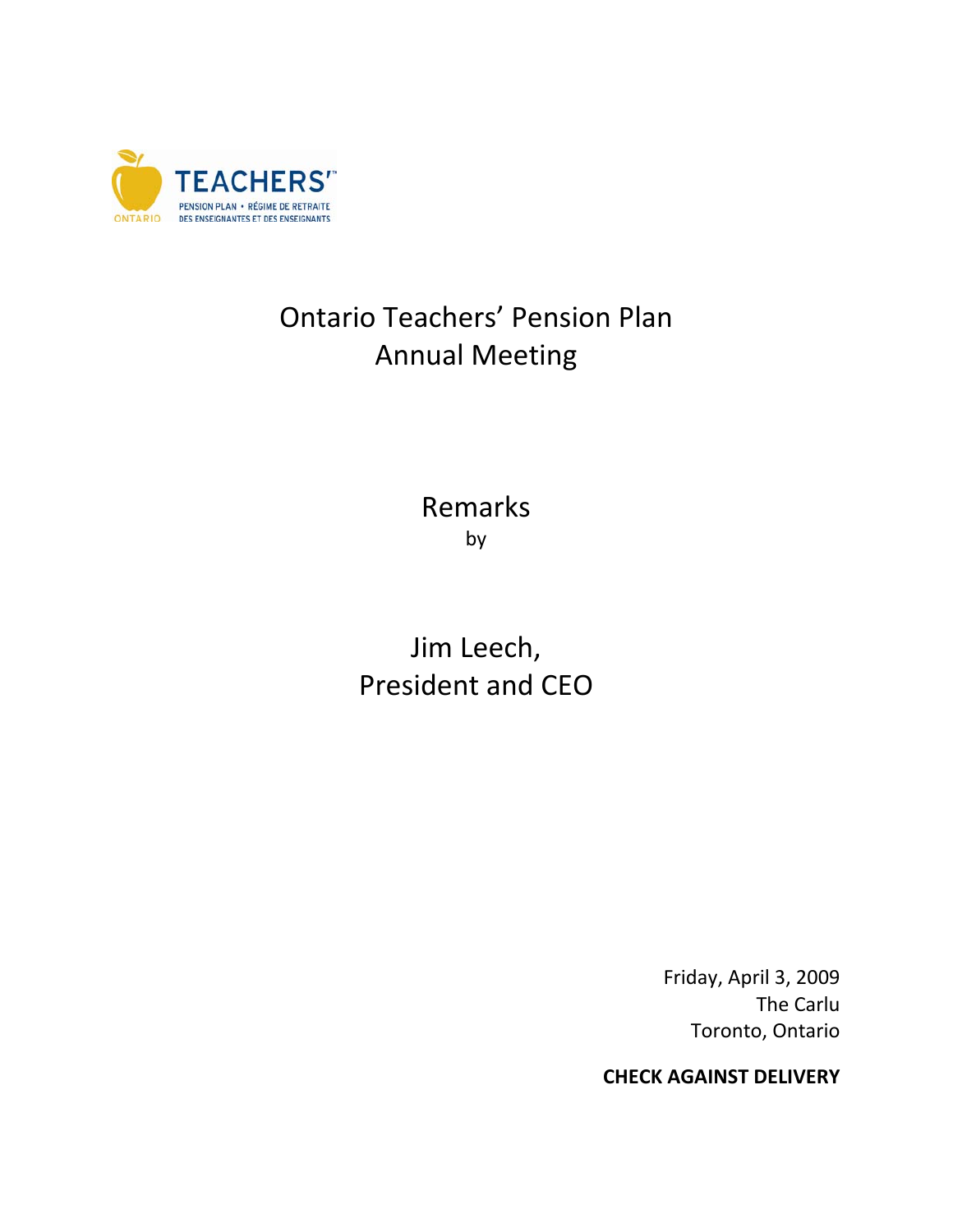

## Ontario Teachers' Pension Plan Annual Meeting

Remarks by

Jim Leech, President and CEO

> Friday, April 3, 2009 The Carlu Toronto, Ontario

**CHECK AGAINST DELIVERY**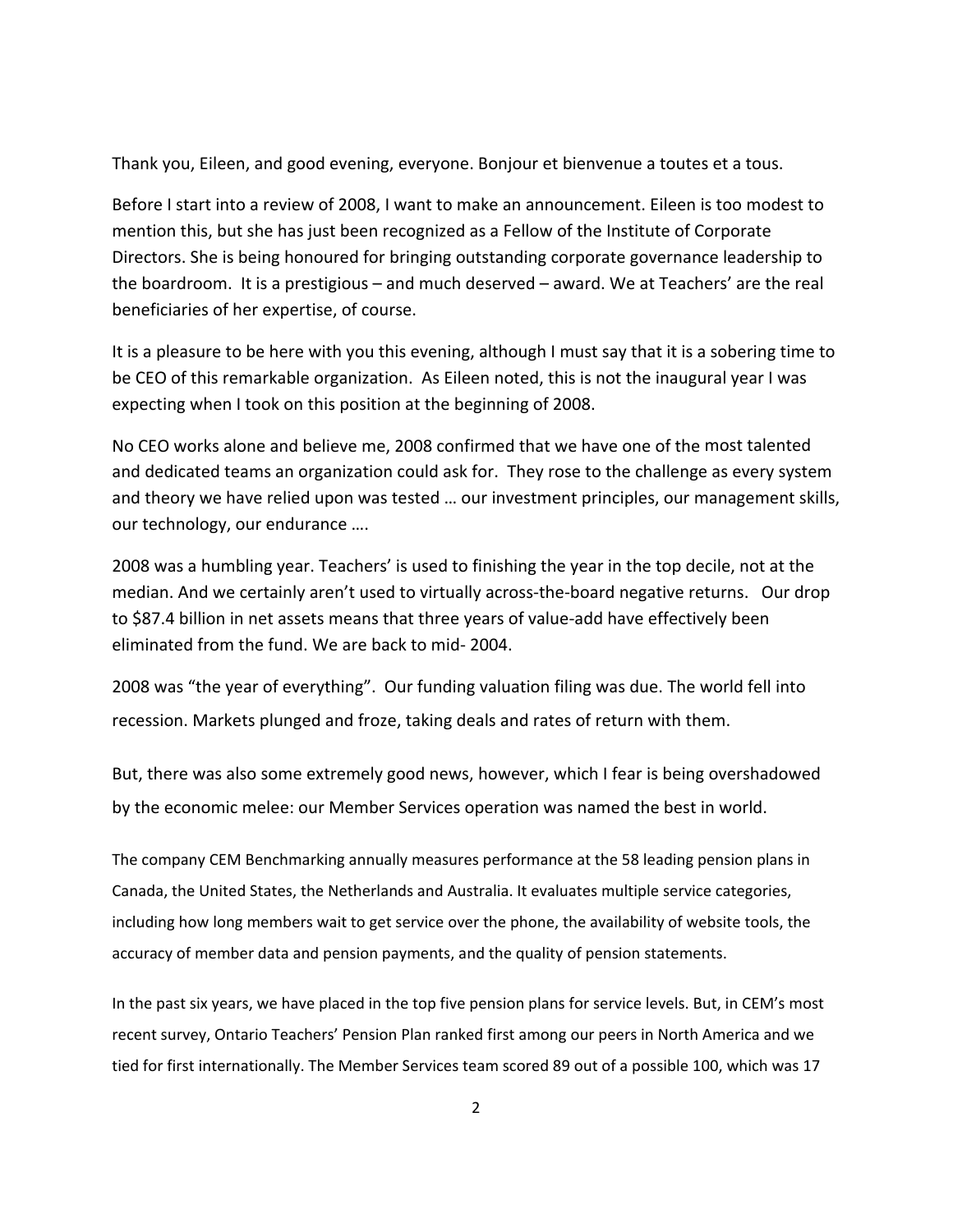Thank you, Eileen, and good evening, everyone. Bonjour et bienvenue a toutes et a tous.

Before I start into a review of 2008, I want to make an announcement. Eileen is too modest to mention this, but she has just been recognized as a Fellow of the Institute of Corporate Directors. She is being honoured for bringing outstanding corporate governance leadership to the boardroom. It is a prestigious – and much deserved – award. We at Teachers' are the real beneficiaries of her expertise, of course.

It is a pleasure to be here with you this evening, although I must say that it is a sobering time to be CEO of this remarkable organization. As Eileen noted, this is not the inaugural year I was expecting when I took on this position at the beginning of 2008.

No CEO works alone and believe me, 2008 confirmed that we have one of the most talented and dedicated teams an organization could ask for. They rose to the challenge as every system and theory we have relied upon was tested … our investment principles, our management skills, our technology, our endurance ….

2008 was a humbling year. Teachers' is used to finishing the year in the top decile, not at the median. And we certainly aren't used to virtually across-the-board negative returns. Our drop to \$87.4 billion in net assets means that three years of value‐add have effectively been eliminated from the fund. We are back to mid‐ 2004.

2008 was "the year of everything". Our funding valuation filing was due. The world fell into recession. Markets plunged and froze, taking deals and rates of return with them.

But, there was also some extremely good news, however, which I fear is being overshadowed by the economic melee: our Member Services operation was named the best in world.

The company CEM Benchmarking annually measures performance at the 58 leading pension plans in Canada, the United States, the Netherlands and Australia. It evaluates multiple service categories, including how long members wait to get service over the phone, the availability of website tools, the accuracy of member data and pension payments, and the quality of pension statements.

In the past six years, we have placed in the top five pension plans for service levels. But, in CEM's most recent survey, Ontario Teachers' Pension Plan ranked first among our peers in North America and we tied for first internationally. The Member Services team scored 89 out of a possible 100, which was 17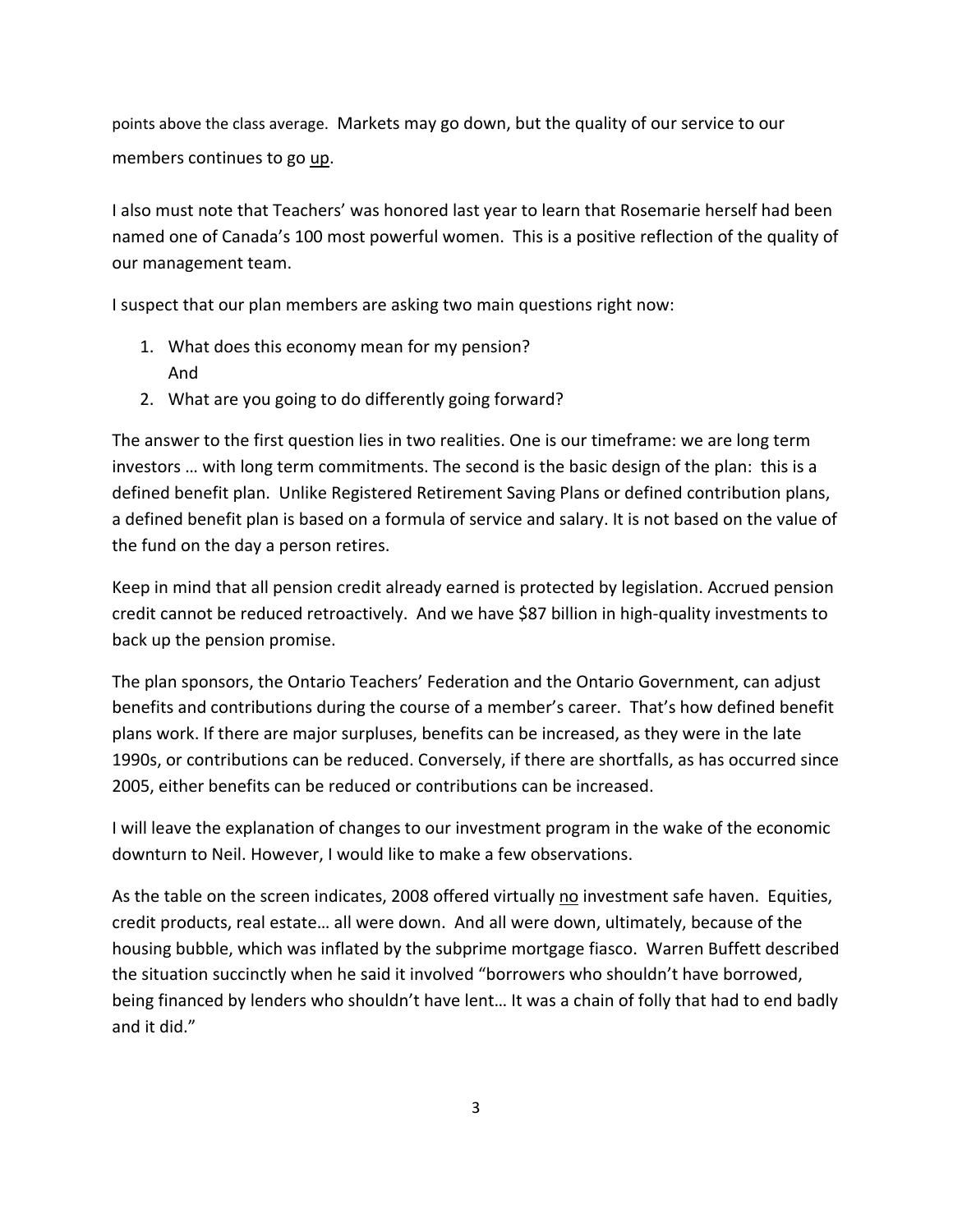points above the class average. Markets may go down, but the quality of our service to our members continues to go up.

I also must note that Teachers' was honored last year to learn that Rosemarie herself had been named one of Canada's 100 most powerful women. This is a positive reflection of the quality of our management team.

I suspect that our plan members are asking two main questions right now:

- 1. What does this economy mean for my pension? And
- 2. What are you going to do differently going forward?

The answer to the first question lies in two realities. One is our timeframe: we are long term investors … with long term commitments. The second is the basic design of the plan: this is a defined benefit plan. Unlike Registered Retirement Saving Plans or defined contribution plans, a defined benefit plan is based on a formula of service and salary. It is not based on the value of the fund on the day a person retires.

Keep in mind that all pension credit already earned is protected by legislation. Accrued pension credit cannot be reduced retroactively. And we have \$87 billion in high‐quality investments to back up the pension promise.

The plan sponsors, the Ontario Teachers' Federation and the Ontario Government, can adjust benefits and contributions during the course of a member's career. That's how defined benefit plans work. If there are major surpluses, benefits can be increased, as they were in the late 1990s, or contributions can be reduced. Conversely, if there are shortfalls, as has occurred since 2005, either benefits can be reduced or contributions can be increased.

I will leave the explanation of changes to our investment program in the wake of the economic downturn to Neil. However, I would like to make a few observations.

As the table on the screen indicates, 2008 offered virtually no investment safe haven. Equities, credit products, real estate… all were down. And all were down, ultimately, because of the housing bubble, which was inflated by the subprime mortgage fiasco. Warren Buffett described the situation succinctly when he said it involved "borrowers who shouldn't have borrowed, being financed by lenders who shouldn't have lent… It was a chain of folly that had to end badly and it did."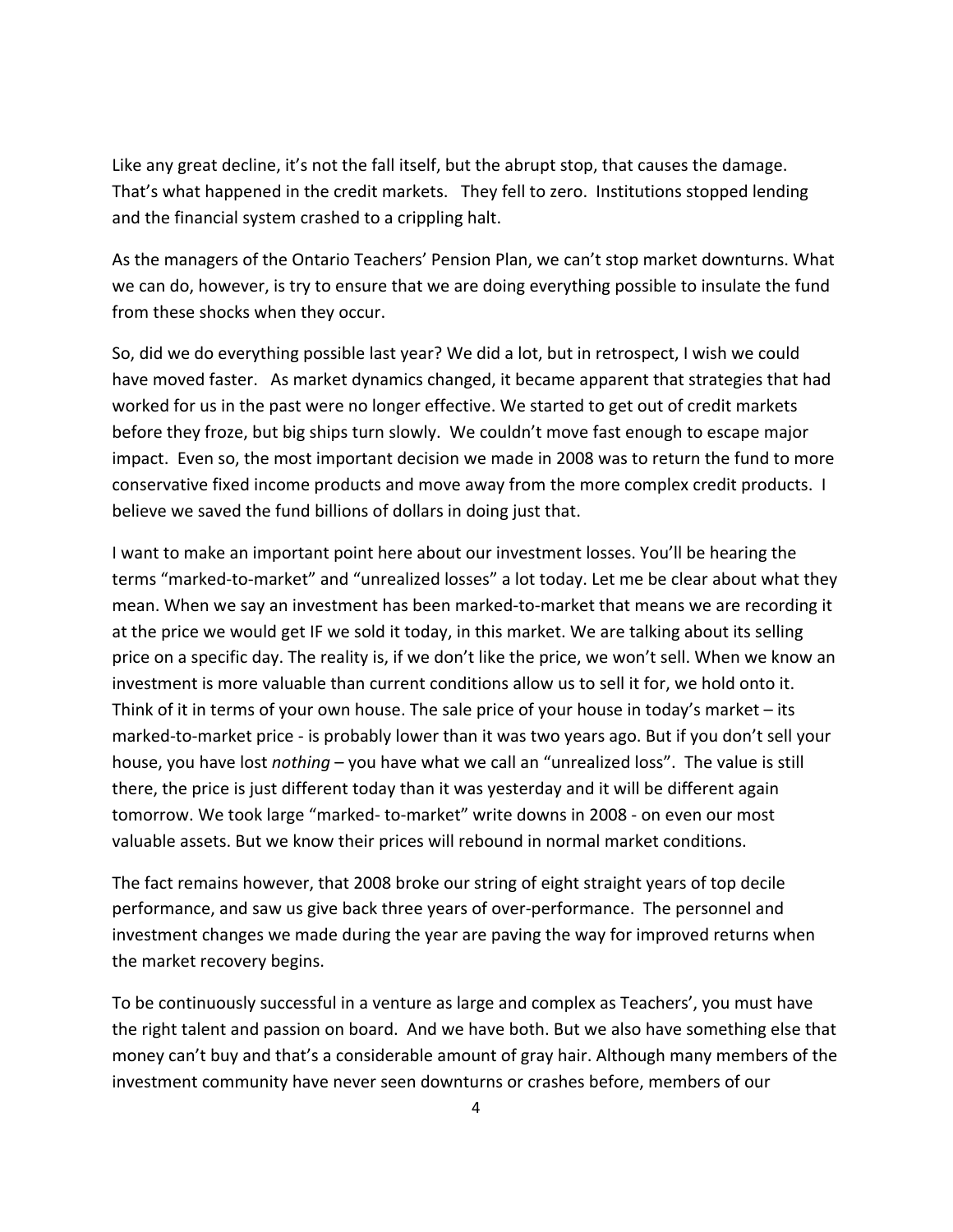Like any great decline, it's not the fall itself, but the abrupt stop, that causes the damage. That's what happened in the credit markets. They fell to zero. Institutions stopped lending and the financial system crashed to a crippling halt.

As the managers of the Ontario Teachers' Pension Plan, we can't stop market downturns. What we can do, however, is try to ensure that we are doing everything possible to insulate the fund from these shocks when they occur.

So, did we do everything possible last year? We did a lot, but in retrospect, I wish we could have moved faster. As market dynamics changed, it became apparent that strategies that had worked for us in the past were no longer effective. We started to get out of credit markets before they froze, but big ships turn slowly. We couldn't move fast enough to escape major impact. Even so, the most important decision we made in 2008 was to return the fund to more conservative fixed income products and move away from the more complex credit products. I believe we saved the fund billions of dollars in doing just that.

I want to make an important point here about our investment losses. You'll be hearing the terms "marked‐to‐market" and "unrealized losses" a lot today. Let me be clear about what they mean. When we say an investment has been marked-to-market that means we are recording it at the price we would get IF we sold it today, in this market. We are talking about its selling price on a specific day. The reality is, if we don't like the price, we won't sell. When we know an investment is more valuable than current conditions allow us to sell it for, we hold onto it. Think of it in terms of your own house. The sale price of your house in today's market – its marked-to-market price - is probably lower than it was two years ago. But if you don't sell your house, you have lost *nothing* – you have what we call an "unrealized loss". The value is still there, the price is just different today than it was yesterday and it will be different again tomorrow. We took large "marked‐ to‐market" write downs in 2008 ‐ on even our most valuable assets. But we know their prices will rebound in normal market conditions.

The fact remains however, that 2008 broke our string of eight straight years of top decile performance, and saw us give back three years of over‐performance. The personnel and investment changes we made during the year are paving the way for improved returns when the market recovery begins.

To be continuously successful in a venture as large and complex as Teachers', you must have the right talent and passion on board. And we have both. But we also have something else that money can't buy and that's a considerable amount of gray hair. Although many members of the investment community have never seen downturns or crashes before, members of our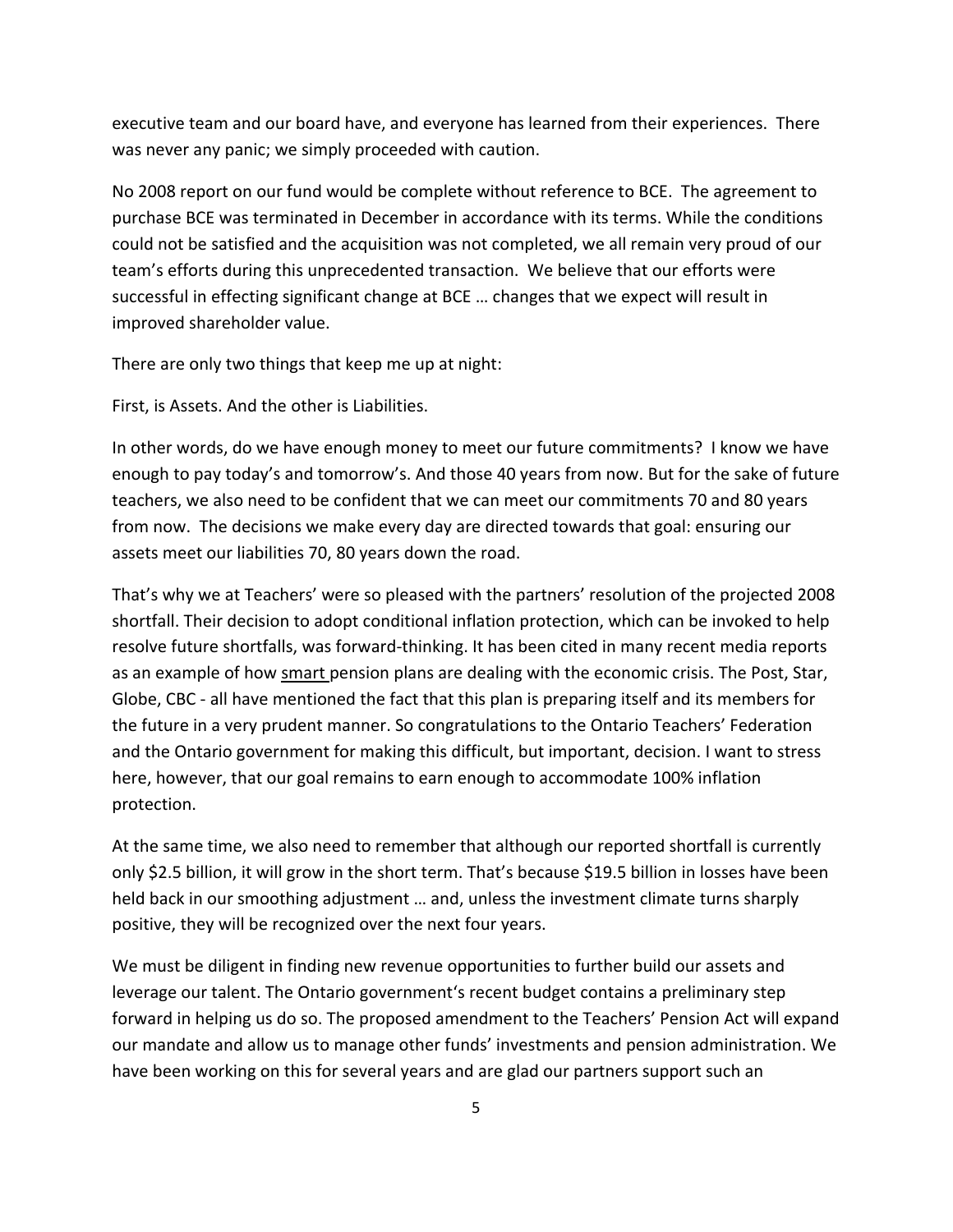executive team and our board have, and everyone has learned from their experiences. There was never any panic; we simply proceeded with caution.

No 2008 report on our fund would be complete without reference to BCE. The agreement to purchase BCE was terminated in December in accordance with its terms. While the conditions could not be satisfied and the acquisition was not completed, we all remain very proud of our team's efforts during this unprecedented transaction. We believe that our efforts were successful in effecting significant change at BCE … changes that we expect will result in improved shareholder value.

There are only two things that keep me up at night:

First, is Assets. And the other is Liabilities.

In other words, do we have enough money to meet our future commitments? I know we have enough to pay today's and tomorrow's. And those 40 years from now. But for the sake of future teachers, we also need to be confident that we can meet our commitments 70 and 80 years from now. The decisions we make every day are directed towards that goal: ensuring our assets meet our liabilities 70, 80 years down the road.

That's why we at Teachers' were so pleased with the partners' resolution of the projected 2008 shortfall. Their decision to adopt conditional inflation protection, which can be invoked to help resolve future shortfalls, was forward‐thinking. It has been cited in many recent media reports as an example of how smart pension plans are dealing with the economic crisis. The Post, Star, Globe, CBC ‐ all have mentioned the fact that this plan is preparing itself and its members for the future in a very prudent manner. So congratulations to the Ontario Teachers' Federation and the Ontario government for making this difficult, but important, decision. I want to stress here, however, that our goal remains to earn enough to accommodate 100% inflation protection.

At the same time, we also need to remember that although our reported shortfall is currently only \$2.5 billion, it will grow in the short term. That's because \$19.5 billion in losses have been held back in our smoothing adjustment … and, unless the investment climate turns sharply positive, they will be recognized over the next four years.

We must be diligent in finding new revenue opportunities to further build our assets and leverage our talent. The Ontario government's recent budget contains a preliminary step forward in helping us do so. The proposed amendment to the Teachers' Pension Act will expand our mandate and allow us to manage other funds' investments and pension administration. We have been working on this for several years and are glad our partners support such an